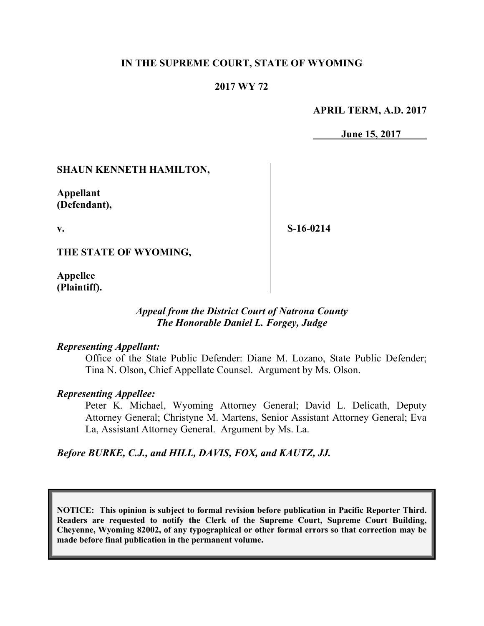## **IN THE SUPREME COURT, STATE OF WYOMING**

## **2017 WY 72**

#### **APRIL TERM, A.D. 2017**

**June 15, 2017**

### **SHAUN KENNETH HAMILTON,**

**Appellant (Defendant),**

**v.**

**S-16-0214**

**THE STATE OF WYOMING,**

**Appellee (Plaintiff).**

### *Appeal from the District Court of Natrona County The Honorable Daniel L. Forgey, Judge*

#### *Representing Appellant:*

Office of the State Public Defender: Diane M. Lozano, State Public Defender; Tina N. Olson, Chief Appellate Counsel. Argument by Ms. Olson.

#### *Representing Appellee:*

Peter K. Michael, Wyoming Attorney General; David L. Delicath, Deputy Attorney General; Christyne M. Martens, Senior Assistant Attorney General; Eva La, Assistant Attorney General. Argument by Ms. La.

#### *Before BURKE, C.J., and HILL, DAVIS, FOX, and KAUTZ, JJ.*

**NOTICE: This opinion is subject to formal revision before publication in Pacific Reporter Third. Readers are requested to notify the Clerk of the Supreme Court, Supreme Court Building, Cheyenne, Wyoming 82002, of any typographical or other formal errors so that correction may be made before final publication in the permanent volume.**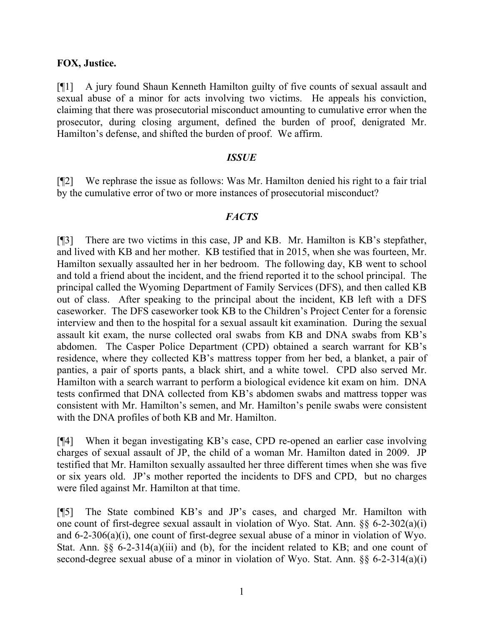### **FOX, Justice.**

[¶1] A jury found Shaun Kenneth Hamilton guilty of five counts of sexual assault and sexual abuse of a minor for acts involving two victims. He appeals his conviction, claiming that there was prosecutorial misconduct amounting to cumulative error when the prosecutor, during closing argument, defined the burden of proof, denigrated Mr. Hamilton's defense, and shifted the burden of proof. We affirm.

### *ISSUE*

[¶2] We rephrase the issue as follows: Was Mr. Hamilton denied his right to a fair trial by the cumulative error of two or more instances of prosecutorial misconduct?

## *FACTS*

[¶3] There are two victims in this case, JP and KB. Mr. Hamilton is KB's stepfather, and lived with KB and her mother. KB testified that in 2015, when she was fourteen, Mr. Hamilton sexually assaulted her in her bedroom. The following day, KB went to school and told a friend about the incident, and the friend reported it to the school principal. The principal called the Wyoming Department of Family Services (DFS), and then called KB out of class. After speaking to the principal about the incident, KB left with a DFS caseworker. The DFS caseworker took KB to the Children's Project Center for a forensic interview and then to the hospital for a sexual assault kit examination. During the sexual assault kit exam, the nurse collected oral swabs from KB and DNA swabs from KB's abdomen. The Casper Police Department (CPD) obtained a search warrant for KB's residence, where they collected KB's mattress topper from her bed, a blanket, a pair of panties, a pair of sports pants, a black shirt, and a white towel. CPD also served Mr. Hamilton with a search warrant to perform a biological evidence kit exam on him. DNA tests confirmed that DNA collected from KB's abdomen swabs and mattress topper was consistent with Mr. Hamilton's semen, and Mr. Hamilton's penile swabs were consistent with the DNA profiles of both KB and Mr. Hamilton.

[¶4] When it began investigating KB's case, CPD re-opened an earlier case involving charges of sexual assault of JP, the child of a woman Mr. Hamilton dated in 2009. JP testified that Mr. Hamilton sexually assaulted her three different times when she was five or six years old. JP's mother reported the incidents to DFS and CPD, but no charges were filed against Mr. Hamilton at that time.

[¶5] The State combined KB's and JP's cases, and charged Mr. Hamilton with one count of first-degree sexual assault in violation of Wyo. Stat. Ann. §§ 6-2-302(a)(i) and 6-2-306(a)(i), one count of first-degree sexual abuse of a minor in violation of Wyo. Stat. Ann. §§ 6-2-314(a)(iii) and (b), for the incident related to KB; and one count of second-degree sexual abuse of a minor in violation of Wyo. Stat. Ann. §§ 6-2-314(a)(i)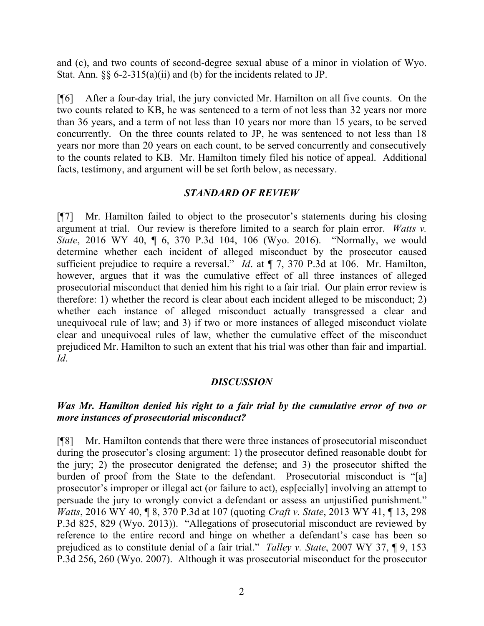and (c), and two counts of second-degree sexual abuse of a minor in violation of Wyo. Stat. Ann. §§ 6-2-315(a)(ii) and (b) for the incidents related to JP.

[¶6] After a four-day trial, the jury convicted Mr. Hamilton on all five counts. On the two counts related to KB, he was sentenced to a term of not less than 32 years nor more than 36 years, and a term of not less than 10 years nor more than 15 years, to be served concurrently. On the three counts related to JP, he was sentenced to not less than 18 years nor more than 20 years on each count, to be served concurrently and consecutively to the counts related to KB. Mr. Hamilton timely filed his notice of appeal. Additional facts, testimony, and argument will be set forth below, as necessary.

## *STANDARD OF REVIEW*

[¶7] Mr. Hamilton failed to object to the prosecutor's statements during his closing argument at trial. Our review is therefore limited to a search for plain error. *Watts v. State*, 2016 WY 40, ¶ 6, 370 P.3d 104, 106 (Wyo. 2016). "Normally, we would determine whether each incident of alleged misconduct by the prosecutor caused sufficient prejudice to require a reversal." *Id*. at ¶ 7, 370 P.3d at 106. Mr. Hamilton, however, argues that it was the cumulative effect of all three instances of alleged prosecutorial misconduct that denied him his right to a fair trial. Our plain error review is therefore: 1) whether the record is clear about each incident alleged to be misconduct; 2) whether each instance of alleged misconduct actually transgressed a clear and unequivocal rule of law; and 3) if two or more instances of alleged misconduct violate clear and unequivocal rules of law, whether the cumulative effect of the misconduct prejudiced Mr. Hamilton to such an extent that his trial was other than fair and impartial. *Id*.

## *DISCUSSION*

## *Was Mr. Hamilton denied his right to a fair trial by the cumulative error of two or more instances of prosecutorial misconduct?*

[¶8] Mr. Hamilton contends that there were three instances of prosecutorial misconduct during the prosecutor's closing argument: 1) the prosecutor defined reasonable doubt for the jury; 2) the prosecutor denigrated the defense; and 3) the prosecutor shifted the burden of proof from the State to the defendant. Prosecutorial misconduct is "[a] prosecutor's improper or illegal act (or failure to act), esp[ecially] involving an attempt to persuade the jury to wrongly convict a defendant or assess an unjustified punishment." *Watts*, 2016 WY 40, ¶ 8, 370 P.3d at 107 (quoting *Craft v. State*, 2013 WY 41, ¶ 13, 298 P.3d 825, 829 (Wyo. 2013)). "Allegations of prosecutorial misconduct are reviewed by reference to the entire record and hinge on whether a defendant's case has been so prejudiced as to constitute denial of a fair trial." *Talley v. State*, 2007 WY 37, ¶ 9, 153 P.3d 256, 260 (Wyo. 2007). Although it was prosecutorial misconduct for the prosecutor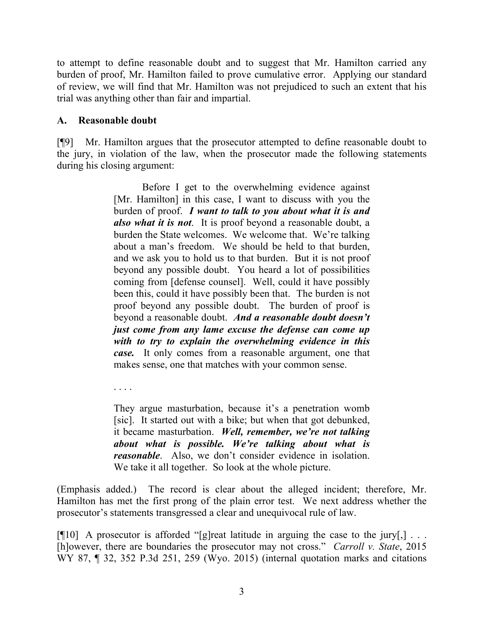to attempt to define reasonable doubt and to suggest that Mr. Hamilton carried any burden of proof, Mr. Hamilton failed to prove cumulative error. Applying our standard of review, we will find that Mr. Hamilton was not prejudiced to such an extent that his trial was anything other than fair and impartial.

## **A. Reasonable doubt**

[¶9] Mr. Hamilton argues that the prosecutor attempted to define reasonable doubt to the jury, in violation of the law, when the prosecutor made the following statements during his closing argument:

> Before I get to the overwhelming evidence against [Mr. Hamilton] in this case, I want to discuss with you the burden of proof. *I want to talk to you about what it is and also what it is not*. It is proof beyond a reasonable doubt, a burden the State welcomes. We welcome that. We're talking about a man's freedom. We should be held to that burden, and we ask you to hold us to that burden. But it is not proof beyond any possible doubt. You heard a lot of possibilities coming from [defense counsel]. Well, could it have possibly been this, could it have possibly been that. The burden is not proof beyond any possible doubt. The burden of proof is beyond a reasonable doubt. *And a reasonable doubt doesn't just come from any lame excuse the defense can come up with to try to explain the overwhelming evidence in this case.* It only comes from a reasonable argument, one that makes sense, one that matches with your common sense.

. . . .

They argue masturbation, because it's a penetration womb [sic]. It started out with a bike; but when that got debunked, it became masturbation. *Well, remember, we're not talking about what is possible. We're talking about what is reasonable*. Also, we don't consider evidence in isolation. We take it all together. So look at the whole picture.

(Emphasis added.) The record is clear about the alleged incident; therefore, Mr. Hamilton has met the first prong of the plain error test. We next address whether the prosecutor's statements transgressed a clear and unequivocal rule of law.

[ $[$ [10] A prosecutor is afforded "[g]reat latitude in arguing the case to the jury[,] ... [h]owever, there are boundaries the prosecutor may not cross." *Carroll v. State*, 2015 WY 87, ¶ 32, 352 P.3d 251, 259 (Wyo. 2015) (internal quotation marks and citations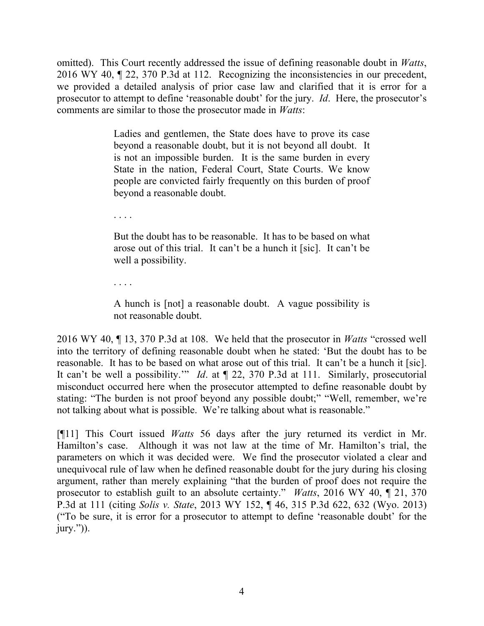omitted). This Court recently addressed the issue of defining reasonable doubt in *Watts*, 2016 WY 40, ¶ 22, 370 P.3d at 112. Recognizing the inconsistencies in our precedent, we provided a detailed analysis of prior case law and clarified that it is error for a prosecutor to attempt to define 'reasonable doubt' for the jury. *Id*. Here, the prosecutor's comments are similar to those the prosecutor made in *Watts*:

> Ladies and gentlemen, the State does have to prove its case beyond a reasonable doubt, but it is not beyond all doubt. It is not an impossible burden. It is the same burden in every State in the nation, Federal Court, State Courts. We know people are convicted fairly frequently on this burden of proof beyond a reasonable doubt.

. . . .

But the doubt has to be reasonable. It has to be based on what arose out of this trial. It can't be a hunch it [sic]. It can't be well a possibility.

. . . .

A hunch is [not] a reasonable doubt. A vague possibility is not reasonable doubt.

2016 WY 40, ¶ 13, 370 P.3d at 108. We held that the prosecutor in *Watts* "crossed well into the territory of defining reasonable doubt when he stated: 'But the doubt has to be reasonable. It has to be based on what arose out of this trial. It can't be a hunch it [sic]. It can't be well a possibility.'" *Id*. at ¶ 22, 370 P.3d at 111. Similarly, prosecutorial misconduct occurred here when the prosecutor attempted to define reasonable doubt by stating: "The burden is not proof beyond any possible doubt;" "Well, remember, we're not talking about what is possible. We're talking about what is reasonable."

[¶11] This Court issued *Watts* 56 days after the jury returned its verdict in Mr. Hamilton's case. Although it was not law at the time of Mr. Hamilton's trial, the parameters on which it was decided were. We find the prosecutor violated a clear and unequivocal rule of law when he defined reasonable doubt for the jury during his closing argument, rather than merely explaining "that the burden of proof does not require the prosecutor to establish guilt to an absolute certainty." *Watts*, 2016 WY 40, ¶ 21, 370 P.3d at 111 (citing *Solis v. State*, 2013 WY 152, ¶ 46, 315 P.3d 622, 632 (Wyo. 2013) ("To be sure, it is error for a prosecutor to attempt to define 'reasonable doubt' for the jury.")).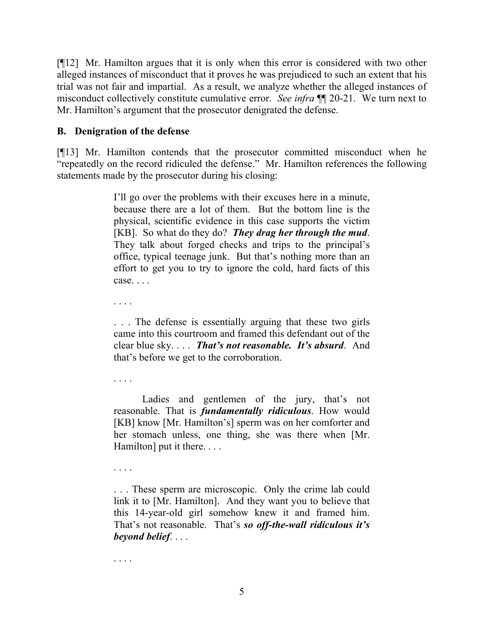[¶12] Mr. Hamilton argues that it is only when this error is considered with two other alleged instances of misconduct that it proves he was prejudiced to such an extent that his trial was not fair and impartial. As a result, we analyze whether the alleged instances of misconduct collectively constitute cumulative error. *See infra* ¶¶ 20-21. We turn next to Mr. Hamilton's argument that the prosecutor denigrated the defense.

## **B. Denigration of the defense**

[¶13] Mr. Hamilton contends that the prosecutor committed misconduct when he "repeatedly on the record ridiculed the defense." Mr. Hamilton references the following statements made by the prosecutor during his closing:

> I'll go over the problems with their excuses here in a minute, because there are a lot of them. But the bottom line is the physical, scientific evidence in this case supports the victim [KB]. So what do they do? *They drag her through the mud*. They talk about forged checks and trips to the principal's office, typical teenage junk. But that's nothing more than an effort to get you to try to ignore the cold, hard facts of this case. . . .

. . . .

. . . The defense is essentially arguing that these two girls came into this courtroom and framed this defendant out of the clear blue sky. . . . *That's not reasonable. It's absurd*. And that's before we get to the corroboration.

. . . .

Ladies and gentlemen of the jury, that's not reasonable. That is *fundamentally ridiculous*. How would [KB] know [Mr. Hamilton's] sperm was on her comforter and her stomach unless, one thing, she was there when [Mr. Hamilton] put it there. . . .

. . . .

. . . These sperm are microscopic. Only the crime lab could link it to [Mr. Hamilton]. And they want you to believe that this 14-year-old girl somehow knew it and framed him. That's not reasonable. That's *so off-the-wall ridiculous it's beyond belief*. . . .

. . . .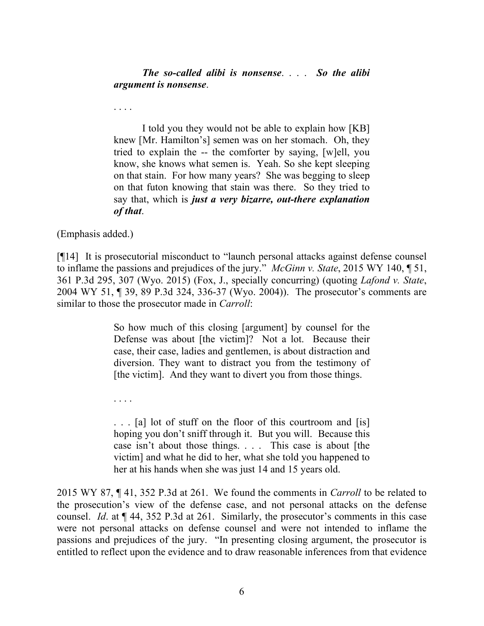*The so-called alibi is nonsense*. . . . *So the alibi argument is nonsense*.

. . . .

I told you they would not be able to explain how [KB] knew [Mr. Hamilton's] semen was on her stomach. Oh, they tried to explain the -- the comforter by saying, [w]ell, you know, she knows what semen is. Yeah. So she kept sleeping on that stain. For how many years? She was begging to sleep on that futon knowing that stain was there. So they tried to say that, which is *just a very bizarre, out-there explanation of that*.

(Emphasis added.)

[¶14] It is prosecutorial misconduct to "launch personal attacks against defense counsel to inflame the passions and prejudices of the jury." *McGinn v. State*, 2015 WY 140, ¶ 51, 361 P.3d 295, 307 (Wyo. 2015) (Fox, J., specially concurring) (quoting *Lafond v. State*, 2004 WY 51, ¶ 39, 89 P.3d 324, 336-37 (Wyo. 2004)). The prosecutor's comments are similar to those the prosecutor made in *Carroll*:

> So how much of this closing [argument] by counsel for the Defense was about [the victim]? Not a lot. Because their case, their case, ladies and gentlemen, is about distraction and diversion. They want to distract you from the testimony of [the victim]. And they want to divert you from those things.

. . . .

. . . [a] lot of stuff on the floor of this courtroom and [is] hoping you don't sniff through it. But you will. Because this case isn't about those things. . . . This case is about [the victim] and what he did to her, what she told you happened to her at his hands when she was just 14 and 15 years old.

2015 WY 87, ¶ 41, 352 P.3d at 261. We found the comments in *Carroll* to be related to the prosecution's view of the defense case, and not personal attacks on the defense counsel. *Id*. at ¶ 44, 352 P.3d at 261. Similarly, the prosecutor's comments in this case were not personal attacks on defense counsel and were not intended to inflame the passions and prejudices of the jury. "In presenting closing argument, the prosecutor is entitled to reflect upon the evidence and to draw reasonable inferences from that evidence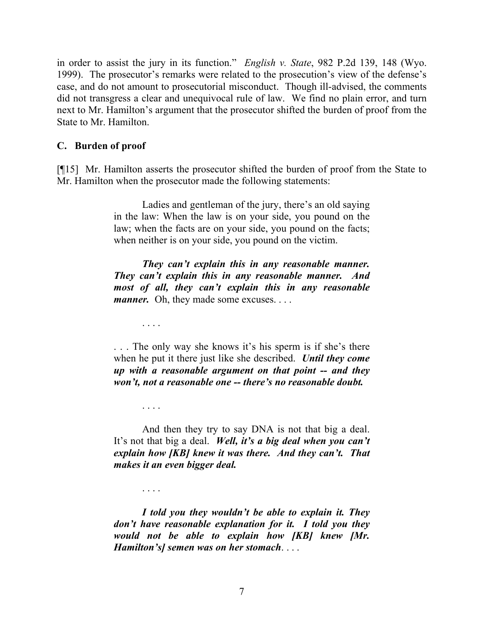in order to assist the jury in its function." *English v. State*, 982 P.2d 139, 148 (Wyo. 1999). The prosecutor's remarks were related to the prosecution's view of the defense's case, and do not amount to prosecutorial misconduct. Though ill-advised, the comments did not transgress a clear and unequivocal rule of law. We find no plain error, and turn next to Mr. Hamilton's argument that the prosecutor shifted the burden of proof from the State to Mr. Hamilton.

## **C. Burden of proof**

. . . .

. . . .

. . . .

[¶15] Mr. Hamilton asserts the prosecutor shifted the burden of proof from the State to Mr. Hamilton when the prosecutor made the following statements:

> Ladies and gentleman of the jury, there's an old saying in the law: When the law is on your side, you pound on the law; when the facts are on your side, you pound on the facts; when neither is on your side, you pound on the victim.

> *They can't explain this in any reasonable manner. They can't explain this in any reasonable manner. And most of all, they can't explain this in any reasonable manner.* Oh, they made some excuses. . . .

> . . . The only way she knows it's his sperm is if she's there when he put it there just like she described. *Until they come up with a reasonable argument on that point -- and they won't, not a reasonable one -- there's no reasonable doubt.*

> And then they try to say DNA is not that big a deal. It's not that big a deal. *Well, it's a big deal when you can't explain how [KB] knew it was there. And they can't. That makes it an even bigger deal.*

> *I told you they wouldn't be able to explain it. They don't have reasonable explanation for it. I told you they would not be able to explain how [KB] knew [Mr. Hamilton's] semen was on her stomach*. . . .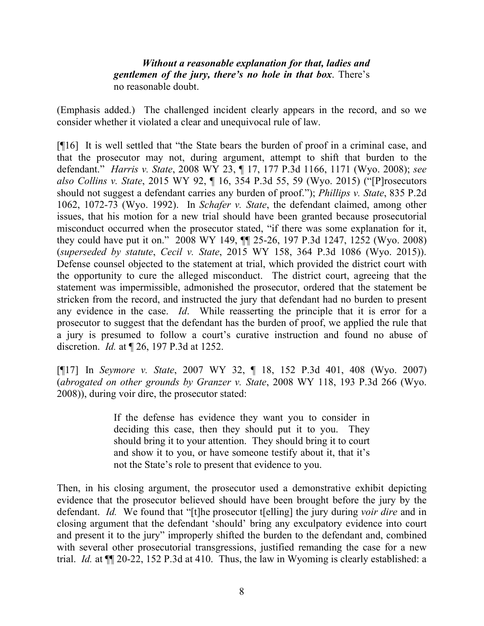*Without a reasonable explanation for that, ladies and gentlemen of the jury, there's no hole in that box*. There's no reasonable doubt.

(Emphasis added.) The challenged incident clearly appears in the record, and so we consider whether it violated a clear and unequivocal rule of law.

[¶16] It is well settled that "the State bears the burden of proof in a criminal case, and that the prosecutor may not, during argument, attempt to shift that burden to the defendant." *Harris v. State*, 2008 WY 23, ¶ 17, 177 P.3d 1166, 1171 (Wyo. 2008); *see also Collins v. State*, 2015 WY 92, ¶ 16, 354 P.3d 55, 59 (Wyo. 2015) ("[P]rosecutors should not suggest a defendant carries any burden of proof."); *Phillips v. State*, 835 P.2d 1062, 1072-73 (Wyo. 1992). In *Schafer v. State*, the defendant claimed, among other issues, that his motion for a new trial should have been granted because prosecutorial misconduct occurred when the prosecutor stated, "if there was some explanation for it, they could have put it on." 2008 WY 149, ¶¶ 25-26, 197 P.3d 1247, 1252 (Wyo. 2008) (*superseded by statute*, *Cecil v. State*, 2015 WY 158, 364 P.3d 1086 (Wyo. 2015)). Defense counsel objected to the statement at trial, which provided the district court with the opportunity to cure the alleged misconduct. The district court, agreeing that the statement was impermissible, admonished the prosecutor, ordered that the statement be stricken from the record, and instructed the jury that defendant had no burden to present any evidence in the case. *Id*. While reasserting the principle that it is error for a prosecutor to suggest that the defendant has the burden of proof, we applied the rule that a jury is presumed to follow a court's curative instruction and found no abuse of discretion. *Id.* at ¶ 26, 197 P.3d at 1252.

[¶17] In *Seymore v. State*, 2007 WY 32, ¶ 18, 152 P.3d 401, 408 (Wyo. 2007) (*abrogated on other grounds by Granzer v. State*, 2008 WY 118, 193 P.3d 266 (Wyo. 2008)), during voir dire, the prosecutor stated:

> If the defense has evidence they want you to consider in deciding this case, then they should put it to you. They should bring it to your attention. They should bring it to court and show it to you, or have someone testify about it, that it's not the State's role to present that evidence to you.

Then, in his closing argument, the prosecutor used a demonstrative exhibit depicting evidence that the prosecutor believed should have been brought before the jury by the defendant. *Id.* We found that "[t]he prosecutor t[elling] the jury during *voir dire* and in closing argument that the defendant 'should' bring any exculpatory evidence into court and present it to the jury" improperly shifted the burden to the defendant and, combined with several other prosecutorial transgressions, justified remanding the case for a new trial. *Id.* at ¶¶ 20-22, 152 P.3d at 410. Thus, the law in Wyoming is clearly established: a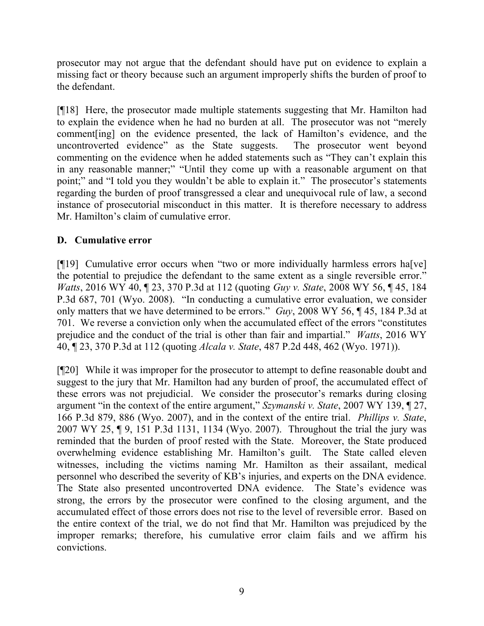prosecutor may not argue that the defendant should have put on evidence to explain a missing fact or theory because such an argument improperly shifts the burden of proof to the defendant.

[¶18] Here, the prosecutor made multiple statements suggesting that Mr. Hamilton had to explain the evidence when he had no burden at all. The prosecutor was not "merely comment[ing] on the evidence presented, the lack of Hamilton's evidence, and the uncontroverted evidence" as the State suggests. The prosecutor went beyond commenting on the evidence when he added statements such as "They can't explain this in any reasonable manner;" "Until they come up with a reasonable argument on that point;" and "I told you they wouldn't be able to explain it." The prosecutor's statements regarding the burden of proof transgressed a clear and unequivocal rule of law, a second instance of prosecutorial misconduct in this matter. It is therefore necessary to address Mr. Hamilton's claim of cumulative error.

# **D. Cumulative error**

[¶19] Cumulative error occurs when "two or more individually harmless errors ha[ve] the potential to prejudice the defendant to the same extent as a single reversible error." *Watts*, 2016 WY 40, ¶ 23, 370 P.3d at 112 (quoting *Guy v. State*, 2008 WY 56, ¶ 45, 184 P.3d 687, 701 (Wyo. 2008). "In conducting a cumulative error evaluation, we consider only matters that we have determined to be errors." *Guy*, 2008 WY 56, ¶ 45, 184 P.3d at 701. We reverse a conviction only when the accumulated effect of the errors "constitutes prejudice and the conduct of the trial is other than fair and impartial." *Watts*, 2016 WY 40, ¶ 23, 370 P.3d at 112 (quoting *Alcala v. State*, 487 P.2d 448, 462 (Wyo. 1971)).

[¶20] While it was improper for the prosecutor to attempt to define reasonable doubt and suggest to the jury that Mr. Hamilton had any burden of proof, the accumulated effect of these errors was not prejudicial. We consider the prosecutor's remarks during closing argument "in the context of the entire argument," *Szymanski v. State*, 2007 WY 139, ¶ 27, 166 P.3d 879, 886 (Wyo. 2007), and in the context of the entire trial. *Phillips v. State*, 2007 WY 25, ¶ 9, 151 P.3d 1131, 1134 (Wyo. 2007). Throughout the trial the jury was reminded that the burden of proof rested with the State. Moreover, the State produced overwhelming evidence establishing Mr. Hamilton's guilt. The State called eleven witnesses, including the victims naming Mr. Hamilton as their assailant, medical personnel who described the severity of KB's injuries, and experts on the DNA evidence. The State also presented uncontroverted DNA evidence. The State's evidence was strong, the errors by the prosecutor were confined to the closing argument, and the accumulated effect of those errors does not rise to the level of reversible error. Based on the entire context of the trial, we do not find that Mr. Hamilton was prejudiced by the improper remarks; therefore, his cumulative error claim fails and we affirm his convictions.